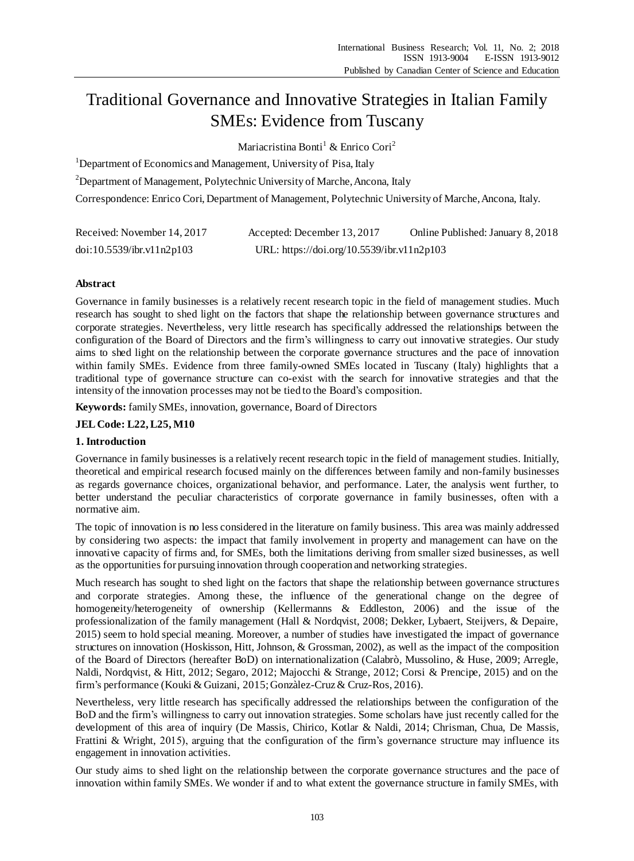# Traditional Governance and Innovative Strategies in Italian Family SMEs: Evidence from Tuscany

Mariacristina Bonti<sup>1</sup> & Enrico Cori<sup>2</sup>

<sup>1</sup>Department of Economics and Management, University of Pisa, Italy

<sup>2</sup>Department of Management, Polytechnic University of Marche, Ancona, Italy

Correspondence: Enrico Cori, Department of Management, Polytechnic University of Marche, Ancona, Italy.

| Received: November 14, 2017 | Accepted: December 13, 2017                | Online Published: January 8, 2018 |
|-----------------------------|--------------------------------------------|-----------------------------------|
| doi:10.5539/ibr.v11n2p103   | URL: https://doi.org/10.5539/ibr.v11n2p103 |                                   |

# **Abstract**

Governance in family businesses is a relatively recent research topic in the field of management studies. Much research has sought to shed light on the factors that shape the relationship between governance structures and corporate strategies. Nevertheless, very little research has specifically addressed the relationships between the configuration of the Board of Directors and the firm's willingness to carry out innovative strategies. Our study aims to shed light on the relationship between the corporate governance structures and the pace of innovation within family SMEs. Evidence from three family-owned SMEs located in Tuscany (Italy) highlights that a traditional type of governance structure can co-exist with the search for innovative strategies and that the intensity of the innovation processes may not be tied to the Board's composition.

**Keywords:** family SMEs, innovation, governance, Board of Directors

**JEL Code: L22, L25, M10**

# **1. Introduction**

Governance in family businesses is a relatively recent research topic in the field of management studies. Initially, theoretical and empirical research focused mainly on the differences between family and non-family businesses as regards governance choices, organizational behavior, and performance. Later, the analysis went further, to better understand the peculiar characteristics of corporate governance in family businesses, often with a normative aim.

The topic of innovation is no less considered in the literature on family business. This area was mainly addressed by considering two aspects: the impact that family involvement in property and management can have on the innovative capacity of firms and, for SMEs, both the limitations deriving from smaller sized businesses, as well as the opportunities for pursuing innovation through cooperation and networking strategies.

Much research has sought to shed light on the factors that shape the relationship between governance structures and corporate strategies. Among these, the influence of the generational change on the degree of homogeneity/heterogeneity of ownership (Kellermanns & Eddleston, 2006) and the issue of the professionalization of the family management (Hall & Nordqvist, 2008; Dekker, Lybaert, Steijvers, & Depaire, 2015) seem to hold special meaning. Moreover, a number of studies have investigated the impact of governance structures on innovation (Hoskisson, Hitt, Johnson, & Grossman, 2002), as well as the impact of the composition of the Board of Directors (hereafter BoD) on internationalization (Calabrò, Mussolino, & Huse, 2009; Arregle, Naldi, Nordqvist, & Hitt, 2012; Segaro, 2012; Majocchi & Strange, 2012; Corsi & Prencipe, 2015) and on the firm's performance (Kouki & Guizani, 2015; Gonzàlez-Cruz & Cruz-Ros, 2016).

Nevertheless, very little research has specifically addressed the relationships between the configuration of the BoD and the firm's willingness to carry out innovation strategies. Some scholars have just recently called for the development of this area of inquiry (De Massis, Chirico, Kotlar & Naldi, 2014; Chrisman, Chua, De Massis, Frattini & Wright, 2015), arguing that the configuration of the firm's governance structure may influence its engagement in innovation activities.

Our study aims to shed light on the relationship between the corporate governance structures and the pace of innovation within family SMEs. We wonder if and to what extent the governance structure in family SMEs, with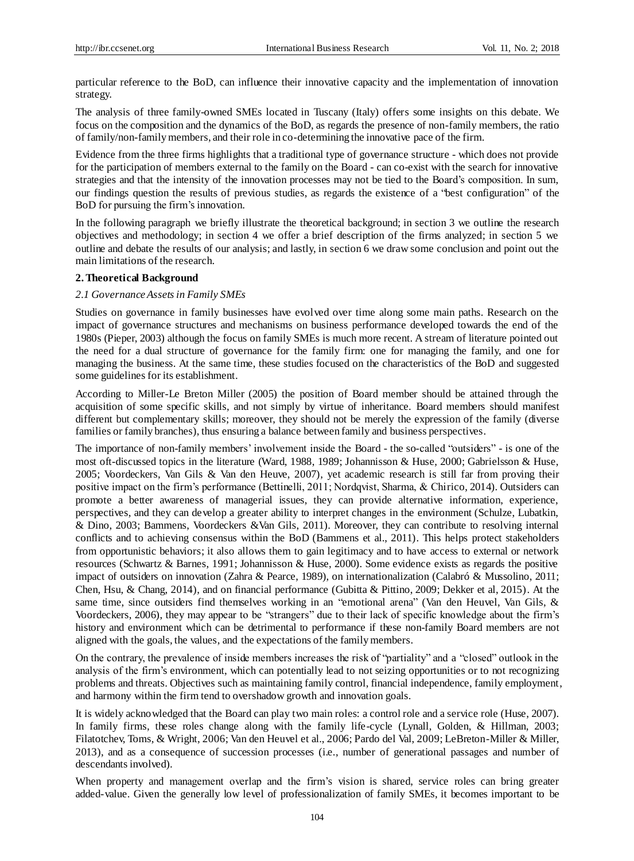particular reference to the BoD, can influence their innovative capacity and the implementation of innovation strategy.

The analysis of three family-owned SMEs located in Tuscany (Italy) offers some insights on this debate. We focus on the composition and the dynamics of the BoD, as regards the presence of non-family members, the ratio of family/non-family members, and their role in co-determining the innovative pace of the firm.

Evidence from the three firms highlights that a traditional type of governance structure - which does not provide for the participation of members external to the family on the Board - can co-exist with the search for innovative strategies and that the intensity of the innovation processes may not be tied to the Board's composition. In sum, our findings question the results of previous studies, as regards the existence of a "best configuration" of the BoD for pursuing the firm's innovation.

In the following paragraph we briefly illustrate the theoretical background; in section 3 we outline the research objectives and methodology; in section 4 we offer a brief description of the firms analyzed; in section 5 we outline and debate the results of our analysis; and lastly, in section 6 we draw some conclusion and point out the main limitations of the research.

#### **2. Theoretical Background**

#### *2.1 Governance Assets in Family SMEs*

Studies on governance in family businesses have evolved over time along some main paths. Research on the impact of governance structures and mechanisms on business performance developed towards the end of the 1980s (Pieper, 2003) although the focus on family SMEs is much more recent. A stream of literature pointed out the need for a dual structure of governance for the family firm: one for managing the family, and one for managing the business. At the same time, these studies focused on the characteristics of the BoD and suggested some guidelines for its establishment.

According to Miller-Le Breton Miller (2005) the position of Board member should be attained through the acquisition of some specific skills, and not simply by virtue of inheritance. Board members should manifest different but complementary skills; moreover, they should not be merely the expression of the family (diverse families or family branches), thus ensuring a balance between family and business perspectives.

The importance of non-family members' involvement inside the Board - the so-called "outsiders" - is one of the most oft-discussed topics in the literature (Ward, 1988, 1989; Johannisson & Huse, 2000; Gabrielsson & Huse, 2005; Voordeckers, Van Gils & Van den Heuve, 2007), yet academic research is still far from proving their positive impact on the firm's performance (Bettinelli, 2011; Nordqvist, Sharma, & Chirico, 2014). Outsiders can promote a better awareness of managerial issues, they can provide alternative information, experience, perspectives, and they can develop a greater ability to interpret changes in the environment (Schulze, Lubatkin, & Dino, 2003; Bammens, Voordeckers &Van Gils, 2011). Moreover, they can contribute to resolving internal conflicts and to achieving consensus within the BoD (Bammens et al., 2011). This helps protect stakeholders from opportunistic behaviors; it also allows them to gain legitimacy and to have access to external or network resources (Schwartz & Barnes, 1991; Johannisson & Huse, 2000). Some evidence exists as regards the positive impact of outsiders on innovation (Zahra & Pearce, 1989), on internationalization (Calabró & Mussolino, 2011; Chen, Hsu, & Chang, 2014), and on financial performance (Gubitta & Pittino, 2009; Dekker et al, 2015). At the same time, since outsiders find themselves working in an "emotional arena" (Van den Heuvel, Van Gils, & Voordeckers, 2006), they may appear to be "strangers" due to their lack of specific knowledge about the firm's history and environment which can be detrimental to performance if these non-family Board members are not aligned with the goals, the values, and the expectations of the family members.

On the contrary, the prevalence of inside members increases the risk of "partiality" and a "closed" outlook in the analysis of the firm's environment, which can potentially lead to not seizing opportunities or to not recognizing problems and threats. Objectives such as maintaining family control, financial independence, family employment, and harmony within the firm tend to overshadow growth and innovation goals.

It is widely acknowledged that the Board can play two main roles: a control role and a service role (Huse, 2007). In family firms, these roles change along with the family life-cycle (Lynall, Golden, & Hillman, 2003; Filatotchev, Toms, & Wright, 2006; Van den Heuvel et al., 2006; Pardo del Val, 2009; LeBreton-Miller & Miller, 2013), and as a consequence of succession processes (i.e., number of generational passages and number of descendants involved).

When property and management overlap and the firm's vision is shared, service roles can bring greater added-value. Given the generally low level of professionalization of family SMEs, it becomes important to be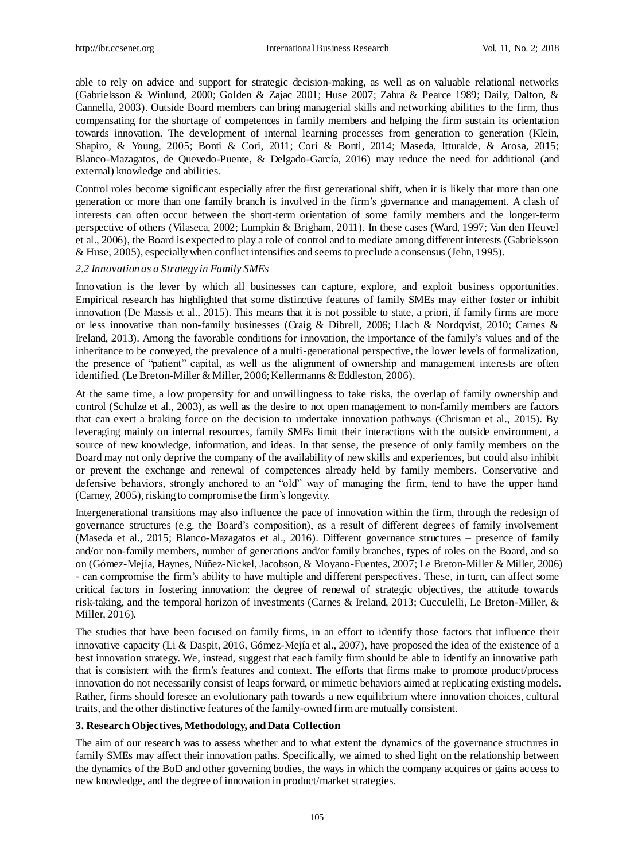able to rely on advice and support for strategic decision-making, as well as on valuable relational networks (Gabrielsson & Winlund, 2000; Golden & Zajac 2001; Huse 2007; Zahra & Pearce 1989; Daily, Dalton, & Cannella, 2003). Outside Board members can bring managerial skills and networking abilities to the firm, thus compensating for the shortage of competences in family members and helping the firm sustain its orientation towards innovation. The development of internal learning processes from generation to generation (Klein, Shapiro, & Young, 2005; Bonti & Cori, 2011; Cori & Bonti, 2014; Maseda, Itturalde, & Arosa, 2015; Blanco-Mazagatos, de Quevedo-Puente, & Delgado-García, 2016) may reduce the need for additional (and external) knowledge and abilities.

Control roles become significant especially after the first generational shift, when it is likely that more than one generation or more than one family branch is involved in the firm's governance and management. A clash of interests can often occur between the short-term orientation of some family members and the longer-term perspective of others (Vilaseca, 2002; Lumpkin & Brigham, 2011). In these cases (Ward, 1997; Van den Heuvel et al., 2006), the Board is expected to play a role of control and to mediate among different interests (Gabrielsson & Huse, 2005), especially when conflict intensifies and seems to preclude a consensus (Jehn, 1995).

#### *2.2 Innovation as a Strategy in Family SMEs*

Innovation is the lever by which all businesses can capture, explore, and exploit business opportunities. Empirical research has highlighted that some distinctive features of family SMEs may either foster or inhibit innovation (De Massis et al., 2015). This means that it is not possible to state, a priori, if family firms are more or less innovative than non-family businesses (Craig & Dibrell, 2006; Llach & Nordqvist, 2010; Carnes & Ireland, 2013). Among the favorable conditions for innovation, the importance of the family's values and of the inheritance to be conveyed, the prevalence of a multi-generational perspective, the lower levels of formalization, the presence of "patient" capital, as well as the alignment of ownership and management interests are often identified. (Le Breton-Miller & Miller, 2006; Kellermanns & Eddleston, 2006).

At the same time, a low propensity for and unwillingness to take risks, the overlap of family ownership and control (Schulze et al., 2003), as well as the desire to not open management to non-family members are factors that can exert a braking force on the decision to undertake innovation pathways (Chrisman et al., 2015). By leveraging mainly on internal resources, family SMEs limit their interactions with the outside environment, a source of new knowledge, information, and ideas. In that sense, the presence of only family members on the Board may not only deprive the company of the availability of new skills and experiences, but could also inhibit or prevent the exchange and renewal of competences already held by family members. Conservative and defensive behaviors, strongly anchored to an "old" way of managing the firm, tend to have the upper hand (Carney, 2005), risking to compromise the firm's longevity.

Intergenerational transitions may also influence the pace of innovation within the firm, through the redesign of governance structures (e.g. the Board's composition), as a result of different degrees of family involvement (Maseda et al., 2015; Blanco-Mazagatos et al., 2016). Different governance structures – presence of family and/or non-family members, number of generations and/or family branches, types of roles on the Board, and so on (Gómez-Mejía, Haynes, Núñez-Nickel, Jacobson, & Moyano-Fuentes, 2007; Le Breton-Miller & Miller, 2006) - can compromise the firm's ability to have multiple and different perspectives. These, in turn, can affect some critical factors in fostering innovation: the degree of renewal of strategic objectives, the attitude towards risk-taking, and the temporal horizon of investments (Carnes & Ireland, 2013; Cucculelli, Le Breton-Miller, & Miller, 2016).

The studies that have been focused on family firms, in an effort to identify those factors that influence their innovative capacity (Li & Daspit, 2016, Gómez-Mejía et al., 2007), have proposed the idea of the existence of a best innovation strategy. We, instead, suggest that each family firm should be able to identify an innovative path that is consistent with the firm's features and context. The efforts that firms make to promote product/process innovation do not necessarily consist of leaps forward, or mimetic behaviors aimed at replicating existing models. Rather, firms should foresee an evolutionary path towards a new equilibrium where innovation choices, cultural traits, and the other distinctive features of the family-owned firm are mutually consistent.

# **3. Research Objectives, Methodology, and Data Collection**

The aim of our research was to assess whether and to what extent the dynamics of the governance structures in family SMEs may affect their innovation paths. Specifically, we aimed to shed light on the relationship between the dynamics of the BoD and other governing bodies, the ways in which the company acquires or gains access to new knowledge, and the degree of innovation in product/market strategies.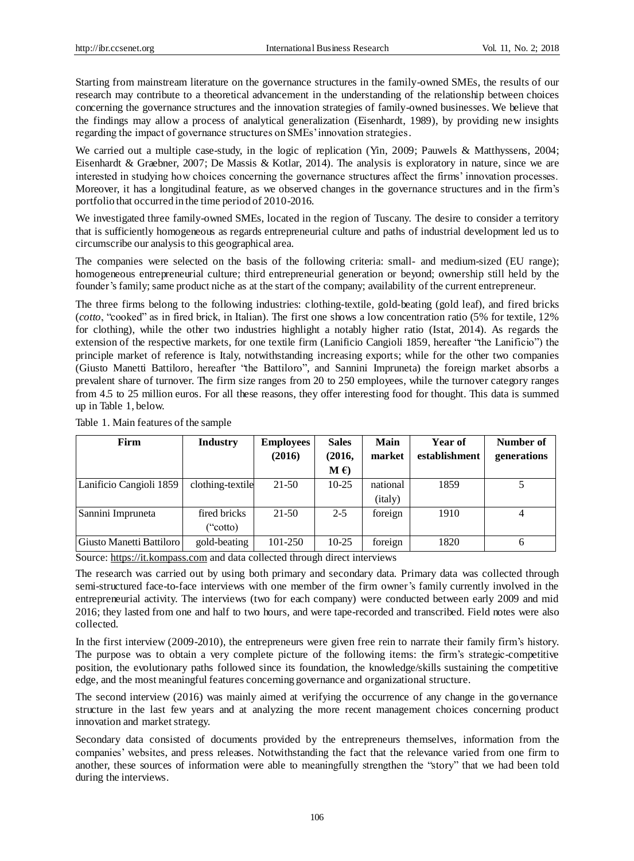Starting from mainstream literature on the governance structures in the family-owned SMEs, the results of our research may contribute to a theoretical advancement in the understanding of the relationship between choices concerning the governance structures and the innovation strategies of family-owned businesses. We believe that the findings may allow a process of analytical generalization (Eisenhardt, 1989), by providing new insights regarding the impact of governance structures on SMEs' innovation strategies.

We carried out a multiple case-study, in the logic of replication (Yin, 2009; Pauwels & Matthyssens, 2004; Eisenhardt & Graebner, 2007; De Massis & Kotlar, 2014). The analysis is exploratory in nature, since we are interested in studying how choices concerning the governance structures affect the firms' innovation processes. Moreover, it has a longitudinal feature, as we observed changes in the governance structures and in the firm's portfolio that occurred in the time period of 2010-2016.

We investigated three family-owned SMEs, located in the region of Tuscany. The desire to consider a territory that is sufficiently homogeneous as regards entrepreneurial culture and paths of industrial development led us to circumscribe our analysis to this geographical area.

The companies were selected on the basis of the following criteria: small- and medium-sized (EU range); homogeneous entrepreneurial culture; third entrepreneurial generation or beyond; ownership still held by the founder's family; same product niche as at the start of the company; availability of the current entrepreneur.

The three firms belong to the following industries: clothing-textile, gold-beating (gold leaf), and fired bricks (*cotto*, "cooked" as in fired brick, in Italian). The first one shows a low concentration ratio (5% for textile, 12% for clothing), while the other two industries highlight a notably higher ratio (Istat, 2014). As regards the extension of the respective markets, for one textile firm (Lanificio Cangioli 1859, hereafter "the Lanificio") the principle market of reference is Italy, notwithstanding increasing exports; while for the other two companies (Giusto Manetti Battiloro, hereafter "the Battiloro", and Sannini Impruneta) the foreign market absorbs a prevalent share of turnover. The firm size ranges from 20 to 250 employees, while the turnover category ranges from 4.5 to 25 million euros. For all these reasons, they offer interesting food for thought. This data is summed up in Table 1, below.

| Firm                     | <b>Industry</b>  | <b>Employees</b> | <b>Sales</b> | Main     | Year of       | Number of   |
|--------------------------|------------------|------------------|--------------|----------|---------------|-------------|
|                          |                  | (2016)           | (2016,       | market   | establishment | generations |
|                          |                  |                  | M(f)         |          |               |             |
| Lanificio Cangioli 1859  | clothing-textile | 21-50            | $10-25$      | national | 1859          |             |
|                          |                  |                  |              | (italy)  |               |             |
| Sannini Impruneta        | fired bricks     | $21-50$          | $2 - 5$      | foreign  | 1910          | 4           |
|                          | ("cotto)         |                  |              |          |               |             |
| Giusto Manetti Battiloro | gold-beating     | 101-250          | $10-25$      | foreign  | 1820          | 6           |

Table 1. Main features of the sample

Source: https://it.kompass.com and data collected through direct interviews

The research was carried out by using both primary and secondary data. Primary data was collected through semi-structured face-to-face interviews with one member of the firm owner's family currently involved in the entrepreneurial activity. The interviews (two for each company) were conducted between early 2009 and mid 2016; they lasted from one and half to two hours, and were tape-recorded and transcribed. Field notes were also collected.

In the first interview (2009-2010), the entrepreneurs were given free rein to narrate their family firm's history. The purpose was to obtain a very complete picture of the following items: the firm's strategic-competitive position, the evolutionary paths followed since its foundation, the knowledge/skills sustaining the competitive edge, and the most meaningful features concerning governance and organizational structure.

The second interview (2016) was mainly aimed at verifying the occurrence of any change in the governance structure in the last few years and at analyzing the more recent management choices concerning product innovation and market strategy.

Secondary data consisted of documents provided by the entrepreneurs themselves, information from the companies' websites, and press releases. Notwithstanding the fact that the relevance varied from one firm to another, these sources of information were able to meaningfully strengthen the "story" that we had been told during the interviews.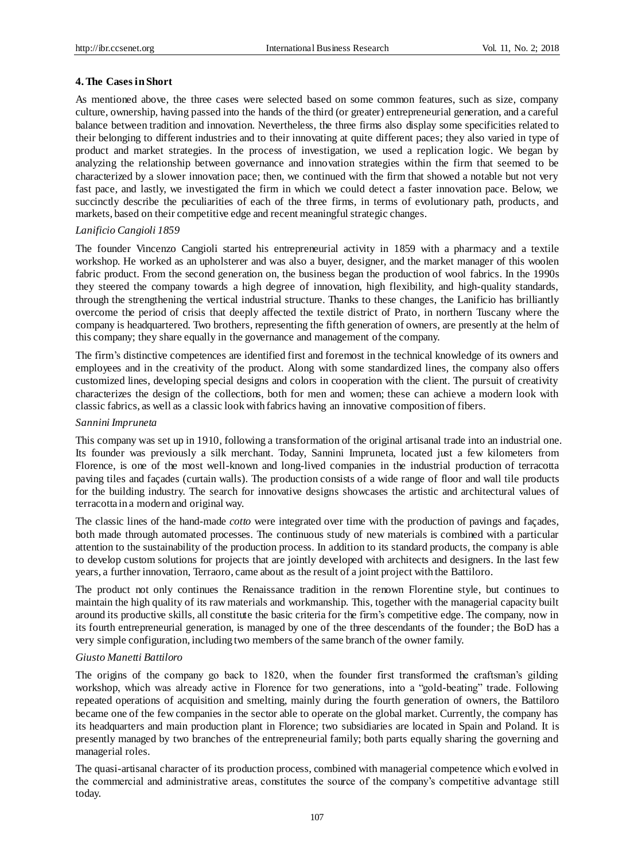## **4. The Cases in Short**

As mentioned above, the three cases were selected based on some common features, such as size, company culture, ownership, having passed into the hands of the third (or greater) entrepreneurial generation, and a careful balance between tradition and innovation. Nevertheless, the three firms also display some specificities related to their belonging to different industries and to their innovating at quite different paces; they also varied in type of product and market strategies. In the process of investigation, we used a replication logic. We began by analyzing the relationship between governance and innovation strategies within the firm that seemed to be characterized by a slower innovation pace; then, we continued with the firm that showed a notable but not very fast pace, and lastly, we investigated the firm in which we could detect a faster innovation pace. Below, we succinctly describe the peculiarities of each of the three firms, in terms of evolutionary path, products, and markets, based on their competitive edge and recent meaningful strategic changes.

## *Lanificio Cangioli 1859*

The founder Vincenzo Cangioli started his entrepreneurial activity in 1859 with a pharmacy and a textile workshop. He worked as an upholsterer and was also a buyer, designer, and the market manager of this woolen fabric product. From the second generation on, the business began the production of wool fabrics. In the 1990s they steered the company towards a high degree of innovation, high flexibility, and high-quality standards, through the strengthening the vertical industrial structure. Thanks to these changes, the Lanificio has brilliantly overcome the period of crisis that deeply affected the textile district of Prato, in northern Tuscany where the company is headquartered. Two brothers, representing the fifth generation of owners, are presently at the helm of this company; they share equally in the governance and management of the company.

The firm's distinctive competences are identified first and foremost in the technical knowledge of its owners and employees and in the creativity of the product. Along with some standardized lines, the company also offers customized lines, developing special designs and colors in cooperation with the client. The pursuit of creativity characterizes the design of the collections, both for men and women; these can achieve a modern look with classic fabrics, as well as a classic look with fabrics having an innovative composition of fibers.

## *Sannini Impruneta*

This company was set up in 1910, following a transformation of the original artisanal trade into an industrial one. Its founder was previously a silk merchant. Today, Sannini Impruneta, located just a few kilometers from Florence, is one of the most well-known and long-lived companies in the industrial production of terracotta paving tiles and façades (curtain walls). The production consists of a wide range of floor and wall tile products for the building industry. The search for innovative designs showcases the artistic and architectural values of terracotta in a modern and original way.

The classic lines of the hand-made *cotto* were integrated over time with the production of pavings and façades, both made through automated processes. The continuous study of new materials is combined with a particular attention to the sustainability of the production process. In addition to its standard products, the company is able to develop custom solutions for projects that are jointly developed with architects and designers. In the last few years, a further innovation, Terraoro, came about as the result of a joint project with the Battiloro.

The product not only continues the Renaissance tradition in the renown Florentine style, but continues to maintain the high quality of its raw materials and workmanship. This, together with the managerial capacity built around its productive skills, all constitute the basic criteria for the firm's competitive edge. The company, now in its fourth entrepreneurial generation, is managed by one of the three descendants of the founder; the BoD has a very simple configuration, including two members of the same branch of the owner family.

# *Giusto Manetti Battiloro*

The origins of the company go back to 1820, when the founder first transformed the craftsman's gilding workshop, which was already active in Florence for two generations, into a "gold-beating" trade. Following repeated operations of acquisition and smelting, mainly during the fourth generation of owners, the Battiloro became one of the few companies in the sector able to operate on the global market. Currently, the company has its headquarters and main production plant in Florence; two subsidiaries are located in Spain and Poland. It is presently managed by two branches of the entrepreneurial family; both parts equally sharing the governing and managerial roles.

The quasi-artisanal character of its production process, combined with managerial competence which evolved in the commercial and administrative areas, constitutes the source of the company's competitive advantage still today.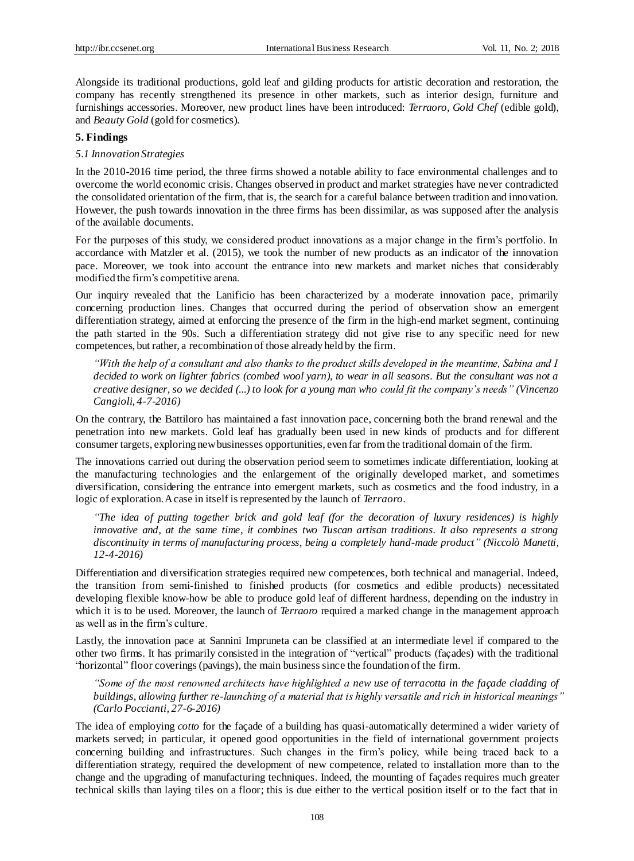Alongside its traditional productions, gold leaf and gilding products for artistic decoration and restoration, the company has recently strengthened its presence in other markets, such as interior design, furniture and furnishings accessories. Moreover, new product lines have been introduced: *Terraoro*, *Gold Chef* (edible gold), and *Beauty Gold* (gold for cosmetics).

#### **5. Findings**

## *5.1 Innovation Strategies*

In the 2010-2016 time period, the three firms showed a notable ability to face environmental challenges and to overcome the world economic crisis. Changes observed in product and market strategies have never contradicted the consolidated orientation of the firm, that is, the search for a careful balance between tradition and innovation. However, the push towards innovation in the three firms has been dissimilar, as was supposed after the analysis of the available documents.

For the purposes of this study, we considered product innovations as a major change in the firm's portfolio. In accordance with Matzler et al. (2015), we took the number of new products as an indicator of the innovation pace. Moreover, we took into account the entrance into new markets and market niches that considerably modified the firm's competitive arena.

Our inquiry revealed that the Lanificio has been characterized by a moderate innovation pace, primarily concerning production lines. Changes that occurred during the period of observation show an emergent differentiation strategy, aimed at enforcing the presence of the firm in the high-end market segment, continuing the path started in the 90s. Such a differentiation strategy did not give rise to any specific need for new competences, but rather, a recombination of those already held by the firm.

*"With the help of a consultant and also thanks to the product skills developed in the meantime, Sabina and I decided to work on lighter fabrics (combed wool yarn), to wear in all seasons. But the consultant was not a creative designer, so we decided (...) to look for a young man who could fit the company's needs" (Vincenzo Cangioli, 4-7-2016)*

On the contrary, the Battiloro has maintained a fast innovation pace, concerning both the brand renewal and the penetration into new markets. Gold leaf has gradually been used in new kinds of products and for different consumer targets, exploring new businesses opportunities, even far from the traditional domain of the firm.

The innovations carried out during the observation period seem to sometimes indicate differentiation, looking at the manufacturing technologies and the enlargement of the originally developed market, and sometimes diversification, considering the entrance into emergent markets, such as cosmetics and the food industry, in a logic of exploration. A case in itself is represented by the launch of *Terraoro*.

*"The idea of putting together brick and gold leaf (for the decoration of luxury residences) is highly innovative and, at the same time, it combines two Tuscan artisan traditions. It also represents a strong discontinuity in terms of manufacturing process, being a completely hand-made product" (Niccolò Manetti, 12-4-2016)*

Differentiation and diversification strategies required new competences, both technical and managerial. Indeed, the transition from semi-finished to finished products (for cosmetics and edible products) necessitated developing flexible know-how be able to produce gold leaf of different hardness, depending on the industry in which it is to be used. Moreover, the launch of *Terraoro* required a marked change in the management approach as well as in the firm's culture.

Lastly, the innovation pace at Sannini Impruneta can be classified at an intermediate level if compared to the other two firms. It has primarily consisted in the integration of "vertical" products (façades) with the traditional "horizontal" floor coverings (pavings), the main business since the foundation of the firm.

*"Some of the most renowned architects have highlighted a new use of terracotta in the façade cladding of buildings, allowing further re-launching of a material that is highly versatile and rich in historical meanings" (Carlo Poccianti, 27-6-2016)*

The idea of employing *cotto* for the façade of a building has quasi-automatically determined a wider variety of markets served; in particular, it opened good opportunities in the field of international government projects concerning building and infrastructures. Such changes in the firm's policy, while being traced back to a differentiation strategy, required the development of new competence, related to installation more than to the change and the upgrading of manufacturing techniques. Indeed, the mounting of façades requires much greater technical skills than laying tiles on a floor; this is due either to the vertical position itself or to the fact that in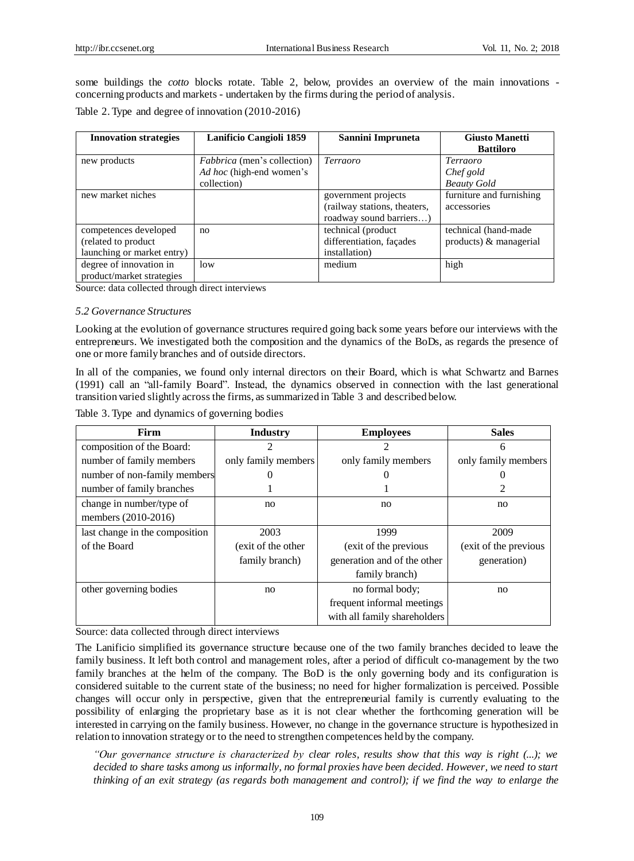some buildings the *cotto* blocks rotate. Table 2, below, provides an overview of the main innovations concerning products and markets - undertaken by the firms during the period of analysis.

Table 2. Type and degree of innovation (2010-2016)

| <b>Innovation strategies</b>                                               | Lanificio Cangioli 1859                                                       | Sannini Impruneta                                                              | <b>Giusto Manetti</b><br><b>Battiloro</b>          |
|----------------------------------------------------------------------------|-------------------------------------------------------------------------------|--------------------------------------------------------------------------------|----------------------------------------------------|
| new products                                                               | <i>Fabbrica</i> (men's collection)<br>Ad hoc (high-end women's<br>collection) | Terraoro                                                                       | <i>Terraoro</i><br>Chef gold<br><b>Beauty Gold</b> |
| new market niches                                                          |                                                                               | government projects<br>(railway stations, theaters,<br>roadway sound barriers) | furniture and furnishing<br>accessories            |
| competences developed<br>(related to product<br>launching or market entry) | no                                                                            | technical (product<br>differentiation, fa cades<br>installation)               | technical (hand-made)<br>$products)$ & managerial  |
| degree of innovation in<br>product/market strategies                       | low                                                                           | medium                                                                         | high                                               |

# *5.2 Governance Structures*

| <b>Innovation strategies</b>                                                                               | Lanificio Cangioli 1859                                 | Sannini Impruneta                                                                                                                                                                                                                                                                                                                                                                                                                                                                                                                                                                                                                                                                                                                                                                                                                                                                                                     | <b>Giusto Manetti</b><br><b>Battiloro</b>                     |
|------------------------------------------------------------------------------------------------------------|---------------------------------------------------------|-----------------------------------------------------------------------------------------------------------------------------------------------------------------------------------------------------------------------------------------------------------------------------------------------------------------------------------------------------------------------------------------------------------------------------------------------------------------------------------------------------------------------------------------------------------------------------------------------------------------------------------------------------------------------------------------------------------------------------------------------------------------------------------------------------------------------------------------------------------------------------------------------------------------------|---------------------------------------------------------------|
| new products                                                                                               | Fabbrica (men's collection)<br>Ad hoc (high-end women's | Terraoro                                                                                                                                                                                                                                                                                                                                                                                                                                                                                                                                                                                                                                                                                                                                                                                                                                                                                                              | Terraoro<br>Chef gold                                         |
| new market niches                                                                                          | collection)                                             | government projects<br>(railway stations, theaters,<br>roadway sound barriers)                                                                                                                                                                                                                                                                                                                                                                                                                                                                                                                                                                                                                                                                                                                                                                                                                                        | <b>Beauty Gold</b><br>furniture and furnishing<br>accessories |
| competences developed<br>(related to product<br>launching or market entry)                                 | no                                                      | technical (product<br>differentiation, fa çades<br>installation)                                                                                                                                                                                                                                                                                                                                                                                                                                                                                                                                                                                                                                                                                                                                                                                                                                                      | technical (hand-made<br>products) & managerial                |
| degree of innovation in<br>product/market strategies                                                       | low                                                     | medium                                                                                                                                                                                                                                                                                                                                                                                                                                                                                                                                                                                                                                                                                                                                                                                                                                                                                                                | high                                                          |
| Source: data collected through direct interviews<br>5.2 Governance Structures                              |                                                         |                                                                                                                                                                                                                                                                                                                                                                                                                                                                                                                                                                                                                                                                                                                                                                                                                                                                                                                       |                                                               |
| one or more family branches and of outside directors.<br>Table 3. Type and dynamics of governing bodies    |                                                         | Looking at the evolution of governance structures required going back some years before our interviews with the<br>entrepreneurs. We investigated both the composition and the dynamics of the BoDs, as regards the presence of<br>In all of the companies, we found only internal directors on their Board, which is what Schwartz and Barnes<br>(1991) call an "all-family Board". Instead, the dynamics observed in connection with the last generational<br>transition varied slightly across the firms, as summarized in Table 3 and described below.                                                                                                                                                                                                                                                                                                                                                            |                                                               |
| Firm                                                                                                       | <b>Industry</b>                                         | <b>Employees</b>                                                                                                                                                                                                                                                                                                                                                                                                                                                                                                                                                                                                                                                                                                                                                                                                                                                                                                      | <b>Sales</b>                                                  |
| composition of the Board:<br>number of family members<br>number of non-family members                      | $\mathfrak{D}$<br>only family members<br>0              | $\mathfrak{D}$<br>only family members<br>$\overline{0}$                                                                                                                                                                                                                                                                                                                                                                                                                                                                                                                                                                                                                                                                                                                                                                                                                                                               | 6<br>only family members<br>$\overline{0}$                    |
| number of family branches<br>change in number/type of<br>members (2010-2016)                               | 1<br>no                                                 | 1<br>no                                                                                                                                                                                                                                                                                                                                                                                                                                                                                                                                                                                                                                                                                                                                                                                                                                                                                                               | 2<br>no                                                       |
| last change in the composition<br>of the Board                                                             | 2003<br>(exit of the other<br>family branch)            | 1999<br>(exit of the previous<br>generation and of the other<br>family branch)                                                                                                                                                                                                                                                                                                                                                                                                                                                                                                                                                                                                                                                                                                                                                                                                                                        | 2009<br>(exit of the previous<br>generation)                  |
| other governing bodies                                                                                     | no                                                      | no formal body;<br>frequent informal meetings<br>with all family shareholders                                                                                                                                                                                                                                                                                                                                                                                                                                                                                                                                                                                                                                                                                                                                                                                                                                         | no                                                            |
| Source: data collected through direct interviews                                                           |                                                         | The Lanificio simplified its governance structure because one of the two family branches decided to leave the<br>family business. It left both control and management roles, after a period of difficult co-management by the two<br>family branches at the helm of the company. The BoD is the only governing body and its configuration is<br>considered suitable to the current state of the business; no need for higher formalization is perceived. Possible<br>changes will occur only in perspective, given that the entrepreneurial family is currently evaluating to the<br>possibility of enlarging the proprietary base as it is not clear whether the forthcoming generation will be<br>interested in carrying on the family business. However, no change in the governance structure is hypothesized in<br>relation to innovation strategy or to the need to strengthen competences held by the company. |                                                               |
| decided to share tasks among us informally, no formal proxies have been decided. However, we need to start |                                                         | "Our governance structure is characterized by clear roles, results show that this way is right (); we                                                                                                                                                                                                                                                                                                                                                                                                                                                                                                                                                                                                                                                                                                                                                                                                                 |                                                               |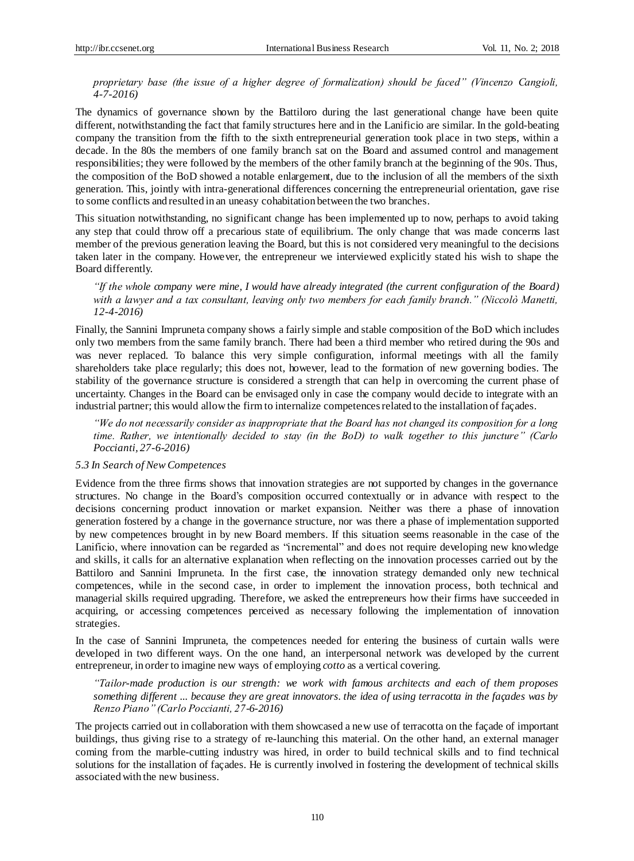*proprietary base (the issue of a higher degree of formalization) should be faced" (Vincenzo Cangioli, 4-7-2016)*

The dynamics of governance shown by the Battiloro during the last generational change have been quite different, notwithstanding the fact that family structures here and in the Lanificio are similar. In the gold-beating company the transition from the fifth to the sixth entrepreneurial generation took place in two steps, within a decade. In the 80s the members of one family branch sat on the Board and assumed control and management responsibilities; they were followed by the members of the other family branch at the beginning of the 90s. Thus, the composition of the BoD showed a notable enlargement, due to the inclusion of all the members of the sixth generation. This, jointly with intra-generational differences concerning the entrepreneurial orientation, gave rise to some conflicts and resulted in an uneasy cohabitation between the two branches.

This situation notwithstanding, no significant change has been implemented up to now, perhaps to avoid taking any step that could throw off a precarious state of equilibrium. The only change that was made concerns last member of the previous generation leaving the Board, but this is not considered very meaningful to the decisions taken later in the company. However, the entrepreneur we interviewed explicitly stated his wish to shape the Board differently.

*"If the whole company were mine, I would have already integrated (the current configuration of the Board) with a lawyer and a tax consultant, leaving only two members for each family branch." (Niccolò Manetti, 12-4-2016)*

Finally, the Sannini Impruneta company shows a fairly simple and stable composition of the BoD which includes only two members from the same family branch. There had been a third member who retired during the 90s and was never replaced. To balance this very simple configuration, informal meetings with all the family shareholders take place regularly; this does not, however, lead to the formation of new governing bodies. The stability of the governance structure is considered a strength that can help in overcoming the current phase of uncertainty. Changes in the Board can be envisaged only in case the company would decide to integrate with an industrial partner; this would allow the firm to internalize competencesrelated to the installation of façades.

*"We do not necessarily consider as inappropriate that the Board has not changed its composition for a long time. Rather, we intentionally decided to stay (in the BoD) to walk together to this juncture" (Carlo Poccianti, 27-6-2016)*

## *5.3 In Search of New Competences*

Evidence from the three firms shows that innovation strategies are not supported by changes in the governance structures. No change in the Board's composition occurred contextually or in advance with respect to the decisions concerning product innovation or market expansion. Neither was there a phase of innovation generation fostered by a change in the governance structure, nor was there a phase of implementation supported by new competences brought in by new Board members. If this situation seems reasonable in the case of the Lanificio, where innovation can be regarded as "incremental" and does not require developing new knowledge and skills, it calls for an alternative explanation when reflecting on the innovation processes carried out by the Battiloro and Sannini Impruneta. In the first case, the innovation strategy demanded only new technical competences, while in the second case, in order to implement the innovation process, both technical and managerial skills required upgrading. Therefore, we asked the entrepreneurs how their firms have succeeded in acquiring, or accessing competences perceived as necessary following the implementation of innovation strategies.

In the case of Sannini Impruneta, the competences needed for entering the business of curtain walls were developed in two different ways. On the one hand, an interpersonal network was developed by the current entrepreneur, in order to imagine new ways of employing *cotto* as a vertical covering.

*"Tailor-made production is our strength: we work with famous architects and each of them proposes something different ... because they are great innovators. the idea of using terracotta in the façades was by Renzo Piano" (Carlo Poccianti, 27-6-2016)*

The projects carried out in collaboration with them showcased a new use of terracotta on the façade of important buildings, thus giving rise to a strategy of re-launching this material. On the other hand, an external manager coming from the marble-cutting industry was hired, in order to build technical skills and to find technical solutions for the installation of façades. He is currently involved in fostering the development of technical skills associated with the new business.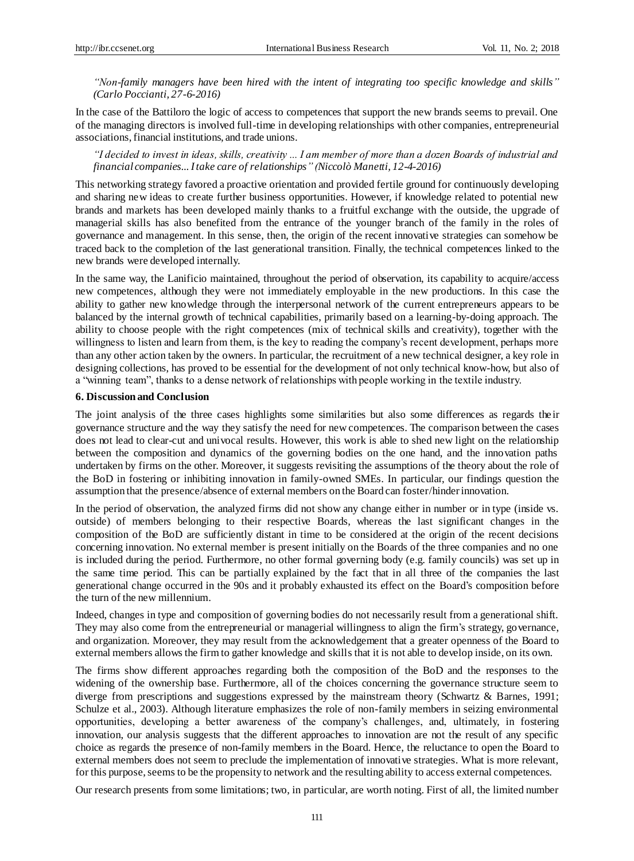*"Non-family managers have been hired with the intent of integrating too specific knowledge and skills" (Carlo Poccianti, 27-6-2016)*

In the case of the Battiloro the logic of access to competences that support the new brands seems to prevail. One of the managing directors is involved full-time in developing relationships with other companies, entrepreneurial associations, financial institutions, and trade unions.

*"I decided to invest in ideas, skills, creativity ... I am member of more than a dozen Boards of industrial and financial companies... I take care of relationships" (Niccolò Manetti, 12-4-2016)*

This networking strategy favored a proactive orientation and provided fertile ground for continuously developing and sharing new ideas to create further business opportunities. However, if knowledge related to potential new brands and markets has been developed mainly thanks to a fruitful exchange with the outside, the upgrade of managerial skills has also benefited from the entrance of the younger branch of the family in the roles of governance and management. In this sense, then, the origin of the recent innovative strategies can somehow be traced back to the completion of the last generational transition. Finally, the technical competences linked to the new brands were developed internally.

In the same way, the Lanificio maintained, throughout the period of observation, its capability to acquire/access new competences, although they were not immediately employable in the new productions. In this case the ability to gather new knowledge through the interpersonal network of the current entrepreneurs appears to be balanced by the internal growth of technical capabilities, primarily based on a learning-by-doing approach. The ability to choose people with the right competences (mix of technical skills and creativity), together with the willingness to listen and learn from them, is the key to reading the company's recent development, perhaps more than any other action taken by the owners. In particular, the recruitment of a new technical designer, a key role in designing collections, has proved to be essential for the development of not only technical know-how, but also of a "winning team", thanks to a dense network of relationships with people working in the textile industry.

# **6. Discussion and Conclusion**

The joint analysis of the three cases highlights some similarities but also some differences as regards the ir governance structure and the way they satisfy the need for new competences. The comparison between the cases does not lead to clear-cut and univocal results. However, this work is able to shed new light on the relationship between the composition and dynamics of the governing bodies on the one hand, and the innovation paths undertaken by firms on the other. Moreover, it suggests revisiting the assumptions of the theory about the role of the BoD in fostering or inhibiting innovation in family-owned SMEs. In particular, our findings question the assumption that the presence/absence of external members on the Board can foster/hinderinnovation.

In the period of observation, the analyzed firms did not show any change either in number or in type (inside vs. outside) of members belonging to their respective Boards, whereas the last significant changes in the composition of the BoD are sufficiently distant in time to be considered at the origin of the recent decisions concerning innovation. No external member is present initially on the Boards of the three companies and no one is included during the period. Furthermore, no other formal governing body (e.g. family councils) was set up in the same time period. This can be partially explained by the fact that in all three of the companies the last generational change occurred in the 90s and it probably exhausted its effect on the Board's composition before the turn of the new millennium.

Indeed, changes in type and composition of governing bodies do not necessarily result from a generational shift. They may also come from the entrepreneurial or managerial willingness to align the firm's strategy, governance, and organization. Moreover, they may result from the acknowledgement that a greater openness of the Board to external members allows the firm to gather knowledge and skills that it is not able to develop inside, on its own.

The firms show different approaches regarding both the composition of the BoD and the responses to the widening of the ownership base. Furthermore, all of the choices concerning the governance structure seem to diverge from prescriptions and suggestions expressed by the mainstream theory (Schwartz & Barnes, 1991; Schulze et al., 2003). Although literature emphasizes the role of non-family members in seizing environmental opportunities, developing a better awareness of the company's challenges, and, ultimately, in fostering innovation, our analysis suggests that the different approaches to innovation are not the result of any specific choice as regards the presence of non-family members in the Board. Hence, the reluctance to open the Board to external members does not seem to preclude the implementation of innovative strategies. What is more relevant, for this purpose, seems to be the propensity to network and the resulting ability to access external competences.

Our research presents from some limitations; two, in particular, are worth noting. First of all, the limited number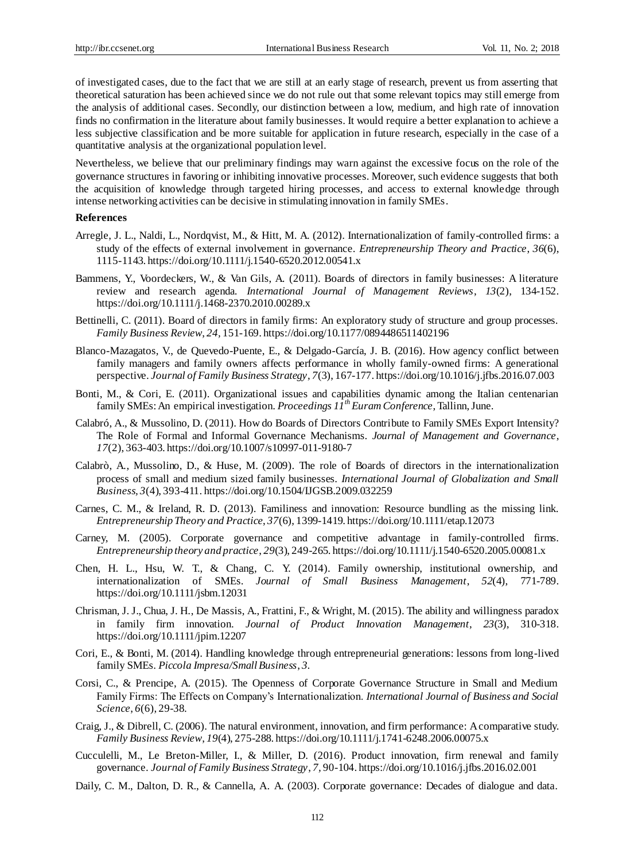of investigated cases, due to the fact that we are still at an early stage of research, prevent us from asserting that theoretical saturation has been achieved since we do not rule out that some relevant topics may still emerge from the analysis of additional cases. Secondly, our distinction between a low, medium, and high rate of innovation finds no confirmation in the literature about family businesses. It would require a better explanation to achieve a less subjective classification and be more suitable for application in future research, especially in the case of a quantitative analysis at the organizational population level.

Nevertheless, we believe that our preliminary findings may warn against the excessive focus on the role of the governance structures in favoring or inhibiting innovative processes. Moreover, such evidence suggests that both the acquisition of knowledge through targeted hiring processes, and access to external knowledge through intense networking activities can be decisive in stimulating innovation in family SMEs.

#### **References**

- Arregle, J. L., Naldi, L., Nordqvist, M., & Hitt, M. A. (2012). Internationalization of family-controlled firms: a study of the effects of external involvement in governance. *Entrepreneurship Theory and Practice*, *36*(6), 1115-1143. https://doi.org/10.1111/j.1540-6520.2012.00541.x
- Bammens, Y., Voordeckers, W., & Van Gils, A. (2011). Boards of directors in family businesses: A literature review and research agenda. *International Journal of Management Reviews*, *13*(2), 134-152. https://doi.org/10.1111/j.1468-2370.2010.00289.x
- Bettinelli, C. (2011). Board of directors in family firms: An exploratory study of structure and group processes. *Family Business Review*, *24,* 151-169. https://doi.org/10.1177/0894486511402196
- Blanco-Mazagatos, V., de Quevedo-Puente, E., & Delgado-García, J. B. (2016). How agency conflict between family managers and family owners affects performance in wholly family-owned firms: A generational perspective. *Journal of Family Business Strategy*, *7*(3), 167-177[. https://doi.org/10.1016/j.jfbs.2016.07.003](https://doi.org/10.1016/j.jfbs.2016.07.003)
- Bonti, M., & Cori, E. (2011). Organizational issues and capabilities dynamic among the Italian centenarian family SMEs: An empirical investigation. *Proceedings 11thEuram Conference*, Tallinn, June.
- Calabró, A., & Mussolino, D. (2011). How do Boards of Directors Contribute to Family SMEs Export Intensity? The Role of Formal and Informal Governance Mechanisms. *Journal of Management and Governance*, *17*(2), 363-403. https://doi.org/10.1007/s10997-011-9180-7
- Calabrò, A., Mussolino, D., & Huse, M. (2009). The role of Boards of directors in the internationalization process of small and medium sized family businesses. *International Journal of Globalization and Small Business, 3*(4), 393-411[. https://doi.org/10.1504/IJGSB.2009.032259](https://doi.org/10.1504/IJGSB.2009.032259)
- Carnes, C. M., & Ireland, R. D. (2013). Familiness and innovation: Resource bundling as the missing link. *Entrepreneurship Theory and Practice*, *37*(6), 1399-1419. https://doi.org/10.1111/etap.12073
- Carney, M. (2005). Corporate governance and competitive advantage in family-controlled firms. *Entrepreneurship theory and practice*, *29*(3), 249-265. https://doi.org/10.1111/j.1540-6520.2005.00081.x
- Chen, H. L., Hsu, W. T., & Chang, C. Y. (2014). Family ownership, institutional ownership, and internationalization of SMEs. *Journal of Small Business Management*, *52*(4), 771-789. https://doi.org/10.1111/jsbm.12031
- Chrisman, J. J., Chua, J. H., De Massis, A., Frattini, F., & Wright, M. (2015). The ability and willingness paradox in family firm innovation. *Journal of Product Innovation Management*, *23*(3), 310-318. https://doi.org/10.1111/jpim.12207
- Cori, E., & Bonti, M. (2014). Handling knowledge through entrepreneurial generations: lessons from long-lived family SMEs. *Piccola Impresa/Small Business*, *3.*
- Corsi, C., & Prencipe, A. (2015). The Openness of Corporate Governance Structure in Small and Medium Family Firms: The Effects on Company's Internationalization. *International Journal of Business and Social Science*, *6*(6), 29-38.
- Craig, J., & Dibrell, C. (2006). The natural environment, innovation, and firm performance: A comparative study. *Family Business Review*, *19*(4), 275-288. https://doi.org/10.1111/j.1741-6248.2006.00075.x
- Cucculelli, M., Le Breton-Miller, I., & Miller, D. (2016). Product innovation, firm renewal and family governance. *Journal of Family Business Strategy*, *7,* 90-104[. https://doi.org/10.1016/j.jfbs.2016.02.001](https://doi.org/10.1016/j.jfbs.2016.02.001)
- Daily, C. M., Dalton, D. R., & Cannella, A. A. (2003). Corporate governance: Decades of dialogue and data.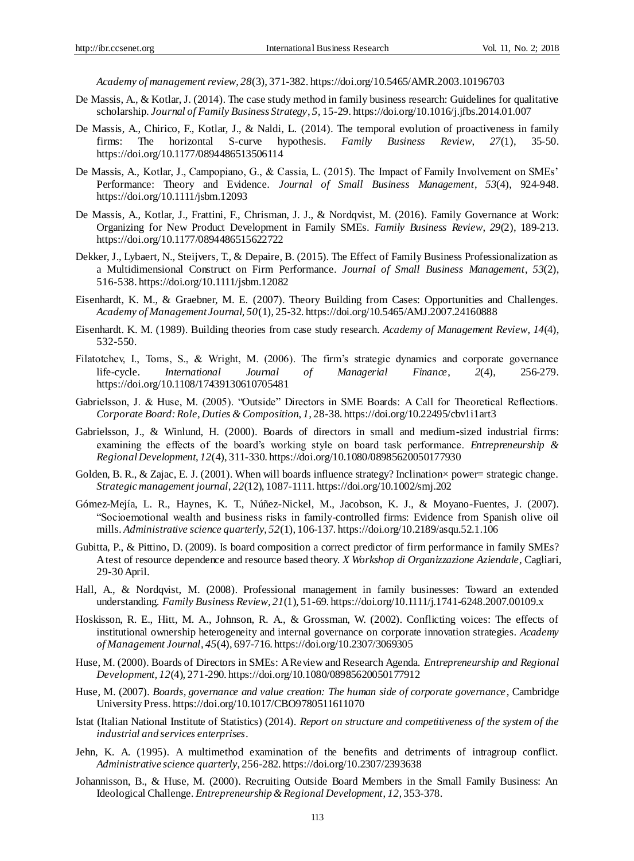*Academy of management review*, *28*(3), 371-382. https://doi.org/10.5465/AMR.2003.10196703

- De Massis, A., & Kotlar, J. (2014). The case study method in family business research: Guidelines for qualitative scholarship. *Journal of Family Business Strategy*, *5,* 15-29[. https://doi.org/10.1016/j.jfbs.2014.01.007](https://doi.org/10.1016/j.jfbs.2014.01.007)
- De Massis, A., Chirico, F., Kotlar, J., & Naldi, L. (2014). The temporal evolution of proactiveness in family firms: The horizontal S-curve hypothesis. *Family Business Review*, *27*(1), 35-50. <https://doi.org/10.1177/0894486513506114>
- De Massis, A., Kotlar, J., Campopiano, G., & Cassia, L. (2015). The Impact of Family Involvement on SMEs' Performance: Theory and Evidence. *Journal of Small Business Management*, *53*(4), 924-948. https://doi.org/10.1111/jsbm.12093
- De Massis, A., Kotlar, J., Frattini, F., Chrisman, J. J., & Nordqvist, M. (2016). Family Governance at Work: Organizing for New Product Development in Family SMEs. *Family Business Review*, *29*(2), 189-213. <https://doi.org/10.1177/0894486515622722>
- Dekker, J., Lybaert, N., Steijvers, T., & Depaire, B. (2015). The Effect of Family Business Professionalization as a Multidimensional Construct on Firm Performance. *Journal of Small Business Management*, *53*(2), 516-538. https://doi.org/10.1111/jsbm.12082
- Eisenhardt, K. M., & Graebner, M. E. (2007). Theory Building from Cases: Opportunities and Challenges. *Academy of Management Journal, 50*(1), 25-32. https://doi.org/10.5465/AMJ.2007.24160888
- Eisenhardt. K. M. (1989). Building theories from case study research. *Academy of Management Review*, *14*(4), 532-550.
- Filatotchev, I., Toms, S., & Wright, M. (2006). The firm's strategic dynamics and corporate governance life-cycle. *International Journal of Managerial Finance*, *2*(4), 256-279. <https://doi.org/10.1108/17439130610705481>
- Gabrielsson, J. & Huse, M. (2005). "Outside" Directors in SME Boards: A Call for Theoretical Reflections. *Corporate Board: Role, Duties & Composition*, *1,* 28-38. https://doi.org/10.22495/cbv1i1art3
- Gabrielsson, J., & Winlund, H. (2000). Boards of directors in small and medium-sized industrial firms: examining the effects of the board's working style on board task performance. *Entrepreneurship & Regional Development*, *12*(4), 311-330. https://doi.or[g/10.1080/08985620050177930](http://dx.doi.org/10.1080/08985620050177930)
- Golden, B. R., & Zajac, E. J. (2001). When will boards influence strategy? Inclination × power= strategic change. *Strategic management journal*, *22*(12), 1087-1111. https://doi.org/10.1002/smj.202
- Gómez-Mejía, L. R., Haynes, K. T., Núñez-Nickel, M., Jacobson, K. J., & Moyano-Fuentes, J. (2007). "Socioemotional wealth and business risks in family-controlled firms: Evidence from Spanish olive oil mills. *Administrative science quarterly*, *52*(1), 106-137[. https://doi.org/10.2189/asqu.52.1.106](https://doi.org/10.2189/asqu.52.1.106)
- Gubitta, P., & Pittino, D. (2009). Is board composition a correct predictor of firm performance in family SMEs? A test of resource dependence and resource based theory. *X Workshop di Organizzazione Aziendale*, Cagliari, 29-30 April.
- Hall, A., & Nordqvist, M. (2008). Professional management in family businesses: Toward an extended understanding. *Family Business Review*, *21*(1), 51-69. https://doi.org/10.1111/j.1741-6248.2007.00109.x
- Hoskisson, R. E., Hitt, M. A., Johnson, R. A., & Grossman, W. (2002). Conflicting voices: The effects of institutional ownership heterogeneity and internal governance on corporate innovation strategies. *Academy of Management Journal*, *45*(4), 697-716. https://doi.org/10.2307/3069305
- Huse, M. (2000). Boards of Directors in SMEs: A Review and Research Agenda. *Entrepreneurship and Regional Development, 12*(4), 271-290. https://doi.org/10.1080/08985620050177912
- Huse, M. (2007). *Boards, governance and value creation: The human side of corporate governance*, Cambridge University Press. https://doi.org/10.1017/CBO9780511611070
- Istat (Italian National Institute of Statistics) (2014). *Report on structure and competitiveness of the system of the industrial and services enterprises*.
- Jehn, K. A. (1995). A multimethod examination of the benefits and detriments of intragroup conflict. *Administrative science quarterly*, 256-282. https://doi.org/10.2307/2393638
- Johannisson, B., & Huse, M. (2000). Recruiting Outside Board Members in the Small Family Business: An Ideological Challenge. *Entrepreneurship & Regional Development*, *12,* 353-378.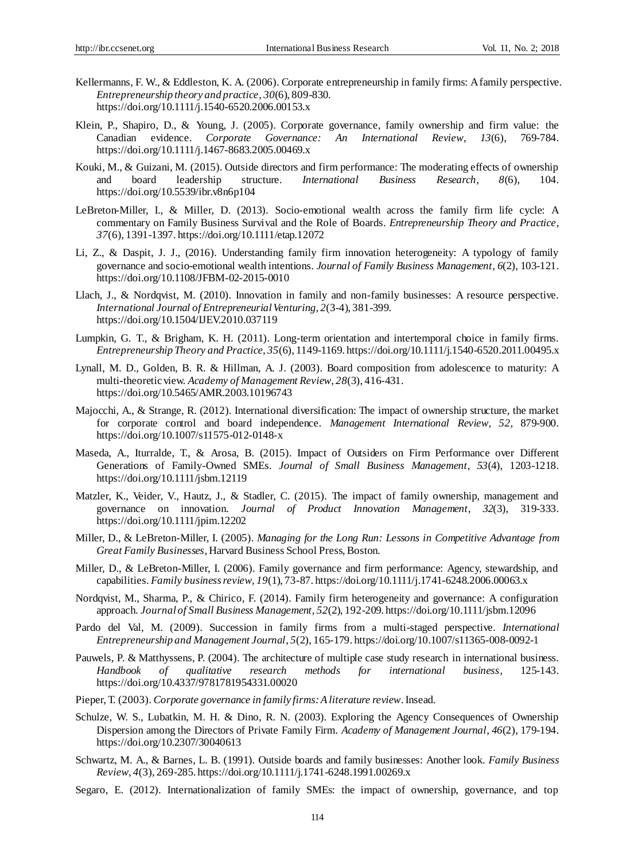- Kellermanns, F. W., & Eddleston, K. A. (2006). Corporate entrepreneurship in family firms: A family perspective. *Entrepreneurship theory and practice*, *30*(6), 809-830. https://doi.org/10.1111/j.1540-6520.2006.00153.x
- Klein, P., Shapiro, D., & Young, J. (2005). Corporate governance, family ownership and firm value: the Canadian evidence. *Corporate Governance: An International Review*, *13*(6), 769-784. https://doi.org/10.1111/j.1467-8683.2005.00469.x
- Kouki, M., & Guizani, M. (2015). Outside directors and firm performance: The moderating effects of ownership and board leadership structure. *International Business Research*, *8*(6), 104. https://doi.org/10.5539/ibr.v8n6p104
- LeBreton-Miller, I., & Miller, D. (2013). Socio-emotional wealth across the family firm life cycle: A commentary on Family Business Survival and the Role of Boards. *Entrepreneurship Theory and Practice*, *37*(6), 1391-1397. https://doi.org/10.1111/etap.12072
- Li, Z., & Daspit, J. J., (2016). Understanding family firm innovation heterogeneity: A typology of family governance and socio-emotional wealth intentions. *Journal of Family Business Management*, *6*(2), 103-121. <https://doi.org/10.1108/JFBM-02-2015-0010>
- Llach, J., & Nordqvist, M. (2010). Innovation in family and non-family businesses: A resource perspective. *International Journal of Entrepreneurial Venturing*, *2*(3-4), 381-399. <https://doi.org/10.1504/IJEV.2010.037119>
- Lumpkin, G. T., & Brigham, K. H. (2011). Long-term orientation and intertemporal choice in family firms. *Entrepreneurship Theory and Practice*, *35*(6), 1149-1169. https://doi.org/10.1111/j.1540-6520.2011.00495.x
- Lynall, M. D., Golden, B. R. & Hillman, A. J. (2003). Board composition from adolescence to maturity: A multi-theoretic view. *Academy of Management Review*, *28*(3), 416-431. https://doi.org/10.5465/AMR.2003.10196743
- Majocchi, A., & Strange, R. (2012). International diversification: The impact of ownership structure, the market for corporate control and board independence. *Management International Review*, *52,* 879-900. https://doi.org/10.1007/s11575-012-0148-x
- Maseda, A., Iturralde, T., & Arosa, B. (2015). Impact of Outsiders on Firm Performance over Different Generations of Family-Owned SMEs. *Journal of Small Business Management*, *53*(4), 1203-1218. https://doi.org/10.1111/jsbm.12119
- Matzler, K., Veider, V., Hautz, J., & Stadler, C. (2015). The impact of family ownership, management and governance on innovation. *Journal of Product Innovation Management*, *32*(3), 319-333. https://doi.org/10.1111/jpim.12202
- Miller, D., & LeBreton-Miller, I. (2005). *Managing for the Long Run: Lessons in Competitive Advantage from Great Family Businesses*, Harvard Business School Press, Boston.
- Miller, D., & LeBreton-Miller, I. (2006). Family governance and firm performance: Agency, stewardship, and capabilities. *Family business review*, *19*(1), 73-87. https://doi.org/10.1111/j.1741-6248.2006.00063.x
- Nordqvist, M., Sharma, P., & Chirico, F. (2014). Family firm heterogeneity and governance: A configuration approach. *Journal of Small Business Management*, *52*(2), 192-209. https://doi.org/10.1111/jsbm.12096
- Pardo del Val, M. (2009). Succession in family firms from a multi-staged perspective. *International Entrepreneurship and Management Journal*, *5*(2), 165-179. https://doi.org/10.1007/s11365-008-0092-1
- Pauwels, P. & Matthyssens, P. (2004). The architecture of multiple case study research in international business. *Handbook of qualitative research methods for international business*, 125-143. https://doi.org/10.4337/9781781954331.00020
- Pieper, T. (2003). *Corporate governance in family firms: A literature review*. Insead.
- Schulze, W. S., Lubatkin, M. H. & Dino, R. N. (2003). Exploring the Agency Consequences of Ownership Dispersion among the Directors of Private Family Firm. *Academy of Management Journal*, *46*(2), 179-194. https://doi.org/10.2307/30040613
- Schwartz, M. A., & Barnes, L. B. (1991). Outside boards and family businesses: Another look. *Family Business Review*, *4*(3), 269-285. https://doi.org/10.1111/j.1741-6248.1991.00269.x
- Segaro, E. (2012). Internationalization of family SMEs: the impact of ownership, governance, and top